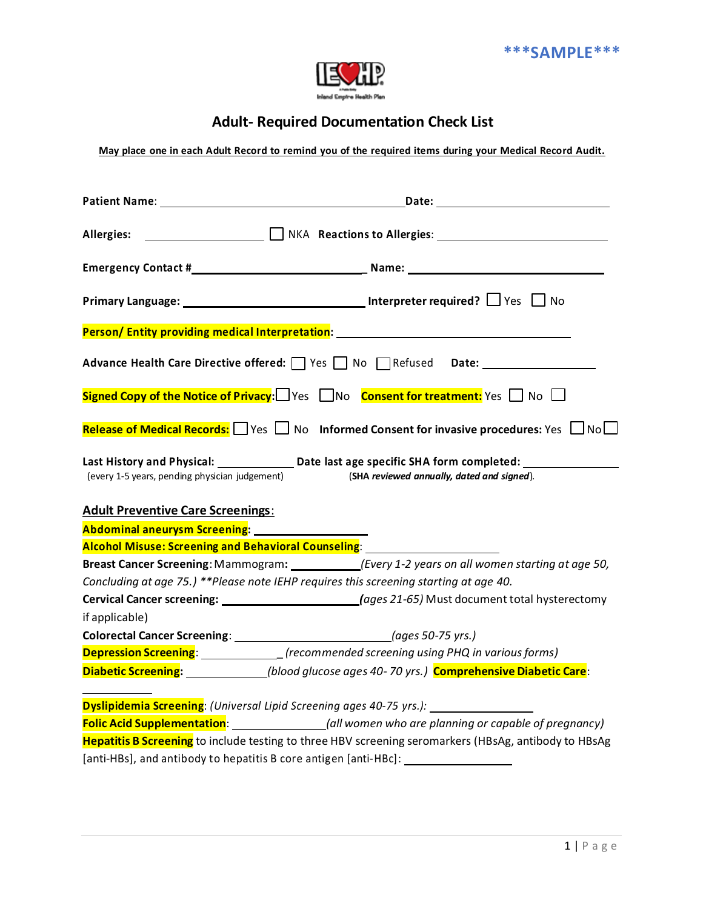



## **Adult- Required Documentation Check List**

May place one in each Adult Record to remind you of the required items during your Medical Record Audit.

|                                                                                            | Person/Entity providing medical Interpretation: ________________________________                                                     |
|--------------------------------------------------------------------------------------------|--------------------------------------------------------------------------------------------------------------------------------------|
|                                                                                            | Advance Health Care Directive offered: Similarly Pes State Online Pate: 2011 - 2021                                                  |
|                                                                                            | <b>Signed Copy of the Notice of Privacy:</b> $\Box$ Yes $\Box$ No <b>Consent for treatment:</b> Yes $\Box$ No $\Box$                 |
|                                                                                            | Release of Medical Records: Wes Mo Informed Consent for invasive procedures: Yes Mol                                                 |
| (every 1-5 years, pending physician judgement)<br><b>Adult Preventive Care Screenings:</b> | Last History and Physical: ________________ Date last age specific SHA form completed:<br>(SHA reviewed annually, dated and signed). |
|                                                                                            |                                                                                                                                      |
|                                                                                            | Alcohol Misuse: Screening and Behavioral Counseling: Management Control of Alcohol Misuse:                                           |
|                                                                                            | Breast Cancer Screening: Mammogram: ____________(Every 1-2 years on all women starting at age 50,                                    |
|                                                                                            | Concluding at age 75.) **Please note IEHP requires this screening starting at age 40.                                                |
|                                                                                            |                                                                                                                                      |
| if applicable)                                                                             |                                                                                                                                      |
|                                                                                            |                                                                                                                                      |
|                                                                                            | <b>Depression Screening</b> : ______________(recommended screening using PHQ in various forms)                                       |
|                                                                                            | Diabetic Screening: <i>_____________(blood glucose ages 40-70 yrs.)</i> Comprehensive Diabetic Care:                                 |
|                                                                                            | Dyslipidemia Screening: (Universal Lipid Screening ages 40-75 yrs.): ___________                                                     |
|                                                                                            | Folic Acid Supplementation: _______________(all women who are planning or capable of pregnancy)                                      |
|                                                                                            | Hepatitis B Screening to include testing to three HBV screening seromarkers (HBsAg, antibody to HBsAg                                |
|                                                                                            | [anti-HBs], and antibody to hepatitis B core antigen [anti-HBc]: _______________                                                     |